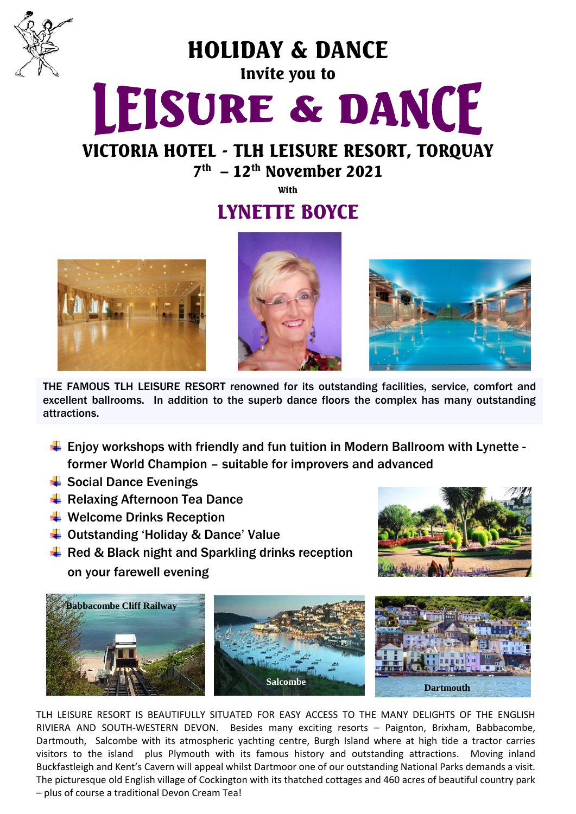

HOLIDAY & DANCE

### Invite you to

# LEISURE & DANCE

## VICTORIA HOTEL - TLH LEISURE RESORT, TORQUAY  $7<sup>th</sup> - 12<sup>th</sup>$  November 2021

With

# LYNETTE BOYCE







THE FAMOUS TLH LEISURE RESORT renowned for its outstanding facilities, service, comfort and excellent ballrooms. In addition to the superb dance floors the complex has many outstanding attractions.

- $\ddot$  Enjoy workshops with friendly and fun tuition in Modern Ballroom with Lynette former World Champion – suitable for improvers and advanced
- $\triangleq$  Social Dance Evenings
- **E** Relaxing Afternoon Tea Dance
- $\leftarrow$  Welcome Drinks Reception
- $\overline{\textbf{I}}$  Outstanding 'Holiday & Dance' Value
- $\overline{\phantom{a}}$  Red & Black night and Sparkling drinks reception on your farewell evening





TLH LEISURE RESORT IS BEAUTIFULLY SITUATED FOR EASY ACCESS TO THE MANY DELIGHTS OF THE ENGLISH RIVIERA AND SOUTH-WESTERN DEVON. Besides many exciting resorts – Paignton, Brixham, Babbacombe, Dartmouth, Salcombe with its atmospheric yachting centre, Burgh Island where at high tide a tractor carries visitors to the island plus Plymouth with its famous history and outstanding attractions. Moving inland Buckfastleigh and Kent's Cavern will appeal whilst Dartmoor one of our outstanding National Parks demands a visit. The picturesque old English village of Cockington with its thatched cottages and 460 acres of beautiful country park – plus of course a traditional Devon Cream Tea!